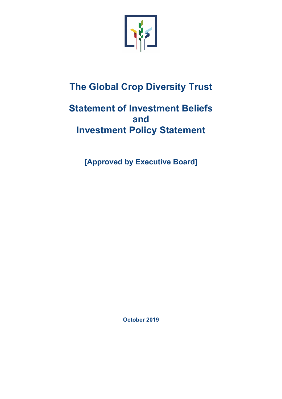

# **The Global Crop Diversity Trust**

# **Statement of Investment Beliefs and Investment Policy Statement**

**[Approved by Executive Board]**

**October 2019**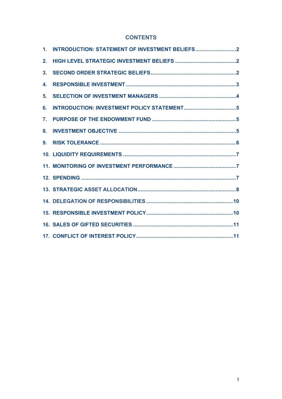#### **CONTENTS**

| $1_{-}$ |  |
|---------|--|
| 2.      |  |
| 3.      |  |
| 4.      |  |
| 5.      |  |
| 6.      |  |
| 7.      |  |
| 8.      |  |
| 9.      |  |
|         |  |
|         |  |
|         |  |
|         |  |
|         |  |
|         |  |
|         |  |
|         |  |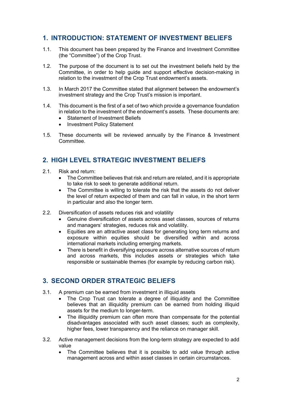# **1. INTRODUCTION: STATEMENT OF INVESTMENT BELIEFS**

- 1.1. This document has been prepared by the Finance and Investment Committee (the "Committee") of the Crop Trust.
- 1.2. The purpose of the document is to set out the investment beliefs held by the Committee, in order to help guide and support effective decision-making in relation to the investment of the Crop Trust endowment's assets.
- 1.3. In March 2017 the Committee stated that alignment between the endowment's investment strategy and the Crop Trust's mission is important.
- 1.4. This document is the first of a set of two which provide a governance foundation in relation to the investment of the endowment's assets. These documents are:
	- Statement of Investment Beliefs
	- Investment Policy Statement
- 1.5. These documents will be reviewed annually by the Finance & Investment **Committee**

## **2. HIGH LEVEL STRATEGIC INVESTMENT BELIEFS**

- 2.1. Risk and return:
	- The Committee believes that risk and return are related, and it is appropriate to take risk to seek to generate additional return.
	- The Committee is willing to tolerate the risk that the assets do not deliver the level of return expected of them and can fall in value, in the short term in particular and also the longer term.
- 2.2. Diversification of assets reduces risk and volatility
	- Genuine diversification of assets across asset classes, sources of returns and managers' strategies, reduces risk and volatility.
	- Equities are an attractive asset class for generating long term returns and exposure within equities should be diversified within and across international markets including emerging markets.
	- There is benefit in diversifying exposure across alternative sources of return and across markets, this includes assets or strategies which take responsible or sustainable themes (for example by reducing carbon risk).

# **3. SECOND ORDER STRATEGIC BELIEFS**

- 3.1. A premium can be earned from investment in illiquid assets
	- The Crop Trust can tolerate a degree of illiquidity and the Committee believes that an illiquidity premium can be earned from holding illiquid assets for the medium to longer-term.
	- The illiquidity premium can often more than compensate for the potential disadvantages associated with such asset classes; such as complexity, higher fees, lower transparency and the reliance on manager skill.
- 3.2. Active management decisions from the long-term strategy are expected to add value
	- The Committee believes that it is possible to add value through active management across and within asset classes in certain circumstances.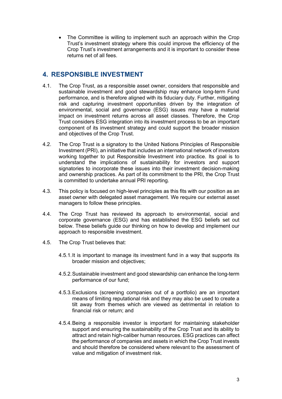• The Committee is willing to implement such an approach within the Crop Trust's investment strategy where this could improve the efficiency of the Crop Trust's investment arrangements and it is important to consider these returns net of all fees.

## **4. RESPONSIBLE INVESTMENT**

- 4.1. The Crop Trust, as a responsible asset owner, considers that responsible and sustainable investment and good stewardship may enhance long-term Fund performance, and is therefore aligned with its fiduciary duty. Further, mitigating risk and capturing investment opportunities driven by the integration of environmental, social and governance (ESG) issues may have a material impact on investment returns across all asset classes. Therefore, the Crop Trust considers ESG integration into its investment process to be an important component of its investment strategy and could support the broader mission and objectives of the Crop Trust.
- 4.2. The Crop Trust is a signatory to the United Nations Principles of Responsible Investment (PRI), an initiative that includes an international network of investors working together to put Responsible Investment into practice. Its goal is to understand the implications of sustainability for investors and support signatories to incorporate these issues into their investment decision-making and ownership practices. As part of its commitment to the PRI, the Crop Trust is committed to undertake annual PRI reporting.
- 4.3. This policy is focused on high-level principles as this fits with our position as an asset owner with delegated asset management. We require our external asset managers to follow these principles.
- 4.4. The Crop Trust has reviewed its approach to environmental, social and corporate governance (ESG) and has established the ESG beliefs set out below. These beliefs guide our thinking on how to develop and implement our approach to responsible investment.
- 4.5. The Crop Trust believes that:
	- 4.5.1.It is important to manage its investment fund in a way that supports its broader mission and objectives;
	- 4.5.2.Sustainable investment and good stewardship can enhance the long-term performance of our fund;
	- 4.5.3.Exclusions (screening companies out of a portfolio) are an important means of limiting reputational risk and they may also be used to create a tilt away from themes which are viewed as detrimental in relation to financial risk or return; and
	- 4.5.4.Being a responsible investor is important for maintaining stakeholder support and ensuring the sustainability of the Crop Trust and its ability to attract and retain high-caliber human resources. ESG practices can affect the performance of companies and assets in which the Crop Trust invests and should therefore be considered where relevant to the assessment of value and mitigation of investment risk.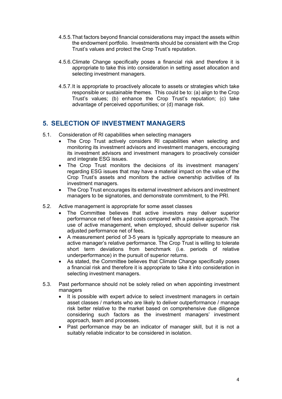- 4.5.5.That factors beyond financial considerations may impact the assets within the endowment portfolio. Investments should be consistent with the Crop Trust's values and protect the Crop Trust's reputation.
- 4.5.6.Climate Change specifically poses a financial risk and therefore it is appropriate to take this into consideration in setting asset allocation and selecting investment managers.
- 4.5.7.It is appropriate to proactively allocate to assets or strategies which take responsible or sustainable themes. This could be to: (a) align to the Crop Trust's values; (b) enhance the Crop Trust's reputation; (c) take advantage of perceived opportunities; or (d) manage risk.

### **5. SELECTION OF INVESTMENT MANAGERS**

- 5.1. Consideration of RI capabilities when selecting managers
	- The Crop Trust actively considers RI capabilities when selecting and monitoring its investment advisors and investment managers, encouraging its investment advisors and investment managers to proactively consider and integrate ESG issues.
	- The Crop Trust monitors the decisions of its investment managers' regarding ESG issues that may have a material impact on the value of the Crop Trust's assets and monitors the active ownership activities of its investment managers.
	- The Crop Trust encourages its external investment advisors and investment managers to be signatories, and demonstrate commitment, to the PRI.
- 5.2. Active management is appropriate for some asset classes
	- The Committee believes that active investors may deliver superior performance net of fees and costs compared with a passive approach. The use of active management, when employed, should deliver superior risk adjusted performance net of fees.
	- A measurement period of 3-5 years is typically appropriate to measure an active manager's relative performance. The Crop Trust is willing to tolerate short term deviations from benchmark (i.e. periods of relative underperformance) in the pursuit of superior returns.
	- As stated, the Committee believes that Climate Change specifically poses a financial risk and therefore it is appropriate to take it into consideration in selecting investment managers.
- 5.3. Past performance should not be solely relied on when appointing investment managers
	- It is possible with expert advice to select investment managers in certain asset classes / markets who are likely to deliver outperformance / manage risk better relative to the market based on comprehensive due diligence considering such factors as the investment managers' investment approach, team and processes.
	- Past performance may be an indicator of manager skill, but it is not a suitably reliable indicator to be considered in isolation.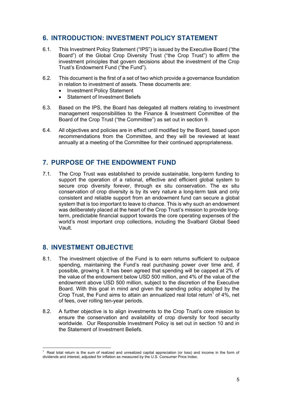## **6. INTRODUCTION: INVESTMENT POLICY STATEMENT**

- 6.1. This Investment Policy Statement ("IPS") is issued by the Executive Board ("the Board") of the Global Crop Diversity Trust ("the Crop Trust") to affirm the investment principles that govern decisions about the investment of the Crop Trust's Endowment Fund ("the Fund").
- 6.2. This document is the first of a set of two which provide a governance foundation in relation to investment of assets. These documents are:
	- Investment Policy Statement
	- Statement of Investment Beliefs
- 6.3. Based on the IPS, the Board has delegated all matters relating to investment management responsibilities to the Finance & Investment Committee of the Board of the Crop Trust ("the Committee") as set out in section 9.
- 6.4. All objectives and policies are in effect until modified by the Board, based upon recommendations from the Committee, and they will be reviewed at least annually at a meeting of the Committee for their continued appropriateness.

### **7. PURPOSE OF THE ENDOWMENT FUND**

7.1. The Crop Trust was established to provide sustainable, long-term funding to support the operation of a rational, effective and efficient global system to secure crop diversity forever, through ex situ conservation. The ex situ conservation of crop diversity is by its very nature a long-term task and only consistent and reliable support from an endowment fund can secure a global system that is too important to leave to chance. This is why such an endowment was deliberately placed at the heart of the Crop Trust's mission to provide longterm, predictable financial support towards the core operating expenses of the world's most important crop collections, including the Svalbard Global Seed Vault.

### **8. INVESTMENT OBJECTIVE**

- 8.1. The investment objective of the Fund is to earn returns sufficient to outpace spending, maintaining the Fund's real purchasing power over time and, if possible, growing it. It has been agreed that spending will be capped at 2% of the value of the endowment below USD 500 million, and 4% of the value of the endowment above USD 500 million, subject to the discretion of the Executive Board. With this goal in mind and given the spending policy adopted by the Crop Trust, the Fund aims to attain an annualized real total return<sup>1</sup> of 4%, net of fees, over rolling ten-year periods.
- 8.2. A further objective is to align investments to the Crop Trust's core mission to ensure the conservation and availability of crop diversity for food security worldwide. Our Responsible Investment Policy is set out in section 10 and in the Statement of Investment Beliefs.

<sup>1</sup> Real total return is the sum of realized and unrealized capital appreciation (or loss) and income in the form of dividends and interest, adjusted for inflation as measured by the U.S. Consumer Price Index.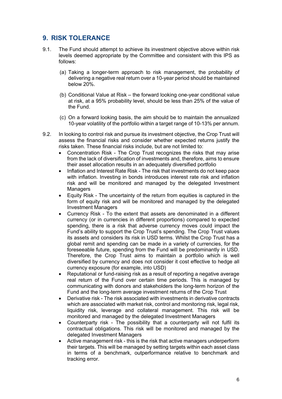# **9. RISK TOLERANCE**

- 9.1. The Fund should attempt to achieve its investment objective above within risk levels deemed appropriate by the Committee and consistent with this IPS as follows:
	- (a) Taking a longer-term approach to risk management, the probability of delivering a negative real return over a 10-year period should be maintained below 20%.
	- (b) Conditional Value at Risk the forward looking one-year conditional value at risk, at a 95% probability level, should be less than 25% of the value of the Fund.
	- (c) On a forward looking basis, the aim should be to maintain the annualized 10-year volatility of the portfolio within a target range of 10-13% per annum.
- 9.2. In looking to control risk and pursue its investment objective, the Crop Trust will assess the financial risks and consider whether expected returns justify the risks taken. These financial risks include, but are not limited to:
	- Concentration Risk The Crop Trust recognizes the risks that may arise from the lack of diversification of investments and, therefore, aims to ensure their asset allocation results in an adequately diversified portfolio
	- Inflation and Interest Rate Risk The risk that investments do not keep pace with inflation. Investing in bonds introduces interest rate risk and inflation risk and will be monitored and managed by the delegated Investment **Managers**
	- Equity Risk The uncertainty of the return from equities is captured in the form of equity risk and will be monitored and managed by the delegated Investment Managers
	- Currency Risk To the extent that assets are denominated in a different currency (or in currencies in different proportions) compared to expected spending, there is a risk that adverse currency moves could impact the Fund's ability to support the Crop Trust's spending. The Crop Trust values its assets and considers its risk in USD terms. Whilst the Crop Trust has a global remit and spending can be made in a variety of currencies, for the foreseeable future, spending from the Fund will be predominantly in USD. Therefore, the Crop Trust aims to maintain a portfolio which is well diversified by currency and does not consider it cost effective to hedge all currency exposure (for example, into USD)
	- Reputational or fund-raising risk as a result of reporting a negative average real return of the Fund over certain time periods. This is managed by communicating with donors and stakeholders the long-term horizon of the Fund and the long-term average investment returns of the Crop Trust
	- Derivative risk The risk associated with investments in derivative contracts which are associated with market risk, control and monitoring risk, legal risk, liquidity risk, leverage and collateral management. This risk will be monitored and managed by the delegated Investment Managers
	- Counterparty risk The possibility that a counterparty will not fulfil its contractual obligations. This risk will be monitored and managed by the delegated Investment Managers
	- Active management risk this is the risk that active managers underperform their targets. This will be managed by setting targets within each asset class in terms of a benchmark, outperformance relative to benchmark and tracking error.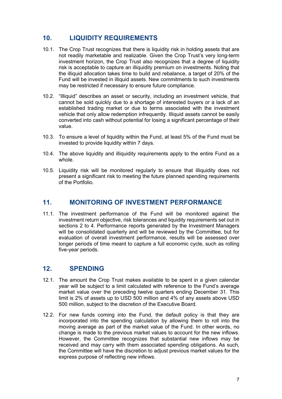# **10. LIQUIDITY REQUIREMENTS**

- 10.1. The Crop Trust recognizes that there is liquidity risk in holding assets that are not readily marketable and realizable. Given the Crop Trust's very long-term investment horizon, the Crop Trust also recognizes that a degree of liquidity risk is acceptable to capture an illiquidity premium on investments. Noting that the illiquid allocation takes time to build and rebalance, a target of 20% of the Fund will be invested in illiquid assets. New commitments to such investments may be restricted if necessary to ensure future compliance.
- 10.2. "Illiquid" describes an asset or security, including an investment vehicle, that cannot be sold quickly due to a shortage of interested buyers or a lack of an established trading market or due to terms associated with the investment vehicle that only allow redemption infrequently. Illiquid assets cannot be easily converted into cash without potential for losing a significant percentage of their value.
- 10.3. To ensure a level of liquidity within the Fund, at least 5% of the Fund must be invested to provide liquidity within 7 days.
- 10.4. The above liquidity and illiquidity requirements apply to the entire Fund as a whole.
- 10.5. Liquidity risk will be monitored regularly to ensure that illiquidity does not present a significant risk to meeting the future planned spending requirements of the Portfolio.

#### **11. MONITORING OF INVESTMENT PERFORMANCE**

11.1. The investment performance of the Fund will be monitored against the investment return objective, risk tolerances and liquidity requirements set out in sections 2 to 4. Performance reports generated by the Investment Managers will be consolidated quarterly and will be reviewed by the Committee, but for evaluation of overall investment performance, results will be assessed over longer periods of time meant to capture a full economic cycle, such as rolling five-year periods.

### **12. SPENDING**

- 12.1. The amount the Crop Trust makes available to be spent in a given calendar year will be subject to a limit calculated with reference to the Fund's average market value over the preceding twelve quarters ending December 31. This limit is 2% of assets up to USD 500 million and 4% of any assets above USD 500 million, subject to the discretion of the Executive Board.
- 12.2. For new funds coming into the Fund, the default policy is that they are incorporated into the spending calculation by allowing them to roll into the moving average as part of the market value of the Fund. In other words, no change is made to the previous market values to account for the new inflows. However, the Committee recognizes that substantial new inflows may be received and may carry with them associated spending obligations. As such, the Committee will have the discretion to adjust previous market values for the express purpose of reflecting new inflows.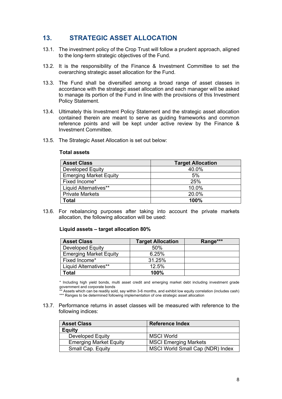# **13. STRATEGIC ASSET ALLOCATION**

- 13.1. The investment policy of the Crop Trust will follow a prudent approach, aligned to the long-term strategic objectives of the Fund.
- 13.2. It is the responsibility of the Finance & Investment Committee to set the overarching strategic asset allocation for the Fund.
- 13.3. The Fund shall be diversified among a broad range of asset classes in accordance with the strategic asset allocation and each manager will be asked to manage its portion of the Fund in line with the provisions of this Investment Policy Statement.
- 13.4. Ultimately this Investment Policy Statement and the strategic asset allocation contained therein are meant to serve as guiding frameworks and common reference points and will be kept under active review by the Finance & Investment Committee.
- 13.5. The Strategic Asset Allocation is set out below:

#### **Total assets**

| <b>Asset Class</b>            | <b>Target Allocation</b> |  |
|-------------------------------|--------------------------|--|
| <b>Developed Equity</b>       | 40.0%                    |  |
| <b>Emerging Market Equity</b> | 5%                       |  |
| Fixed Income*                 | 25%                      |  |
| Liquid Alternatives**         | 10.0%                    |  |
| <b>Private Markets</b>        | 20.0%                    |  |
| Total                         | 100%                     |  |

13.6. For rebalancing purposes after taking into account the private markets allocation, the following allocation will be used:

#### **Liquid assets – target allocation 80%**

| <b>Asset Class</b>            | <b>Target Allocation</b> | Range*** |
|-------------------------------|--------------------------|----------|
| <b>Developed Equity</b>       | 50%                      |          |
| <b>Emerging Market Equity</b> | 6.25%                    |          |
| Fixed Income*                 | 31.25%                   |          |
| Liquid Alternatives**         | 12.5%                    |          |
| Гotal                         | 100%                     |          |

\* Including high yield bonds, multi asset credit and emerging market debt including investment grade government and corporate bonds

\*\* Assets which can be readily sold, say within 3-6 months, and exhibit low equity correlation (includes cash) \*\*\* Ranges to be determined following implementation of one strategic asset allocation

13.7. Performance returns in asset classes will be measured with reference to the following indices:

| <b>Asset Class</b>            | <b>Reference Index</b>           |
|-------------------------------|----------------------------------|
| <b>Equity</b>                 |                                  |
| Developed Equity              | <b>MSCI World</b>                |
| <b>Emerging Market Equity</b> | <b>MSCI Emerging Markets</b>     |
| Small Cap. Equity             | MSCI World Small Cap (NDR) Index |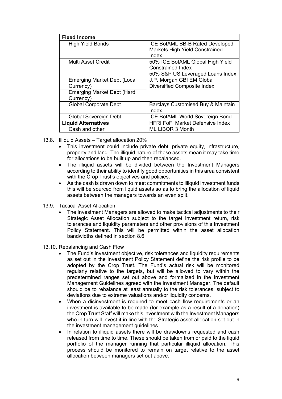| <b>Fixed Income</b>                                                                               |                                                                                                  |
|---------------------------------------------------------------------------------------------------|--------------------------------------------------------------------------------------------------|
| <b>High Yield Bonds</b>                                                                           | ICE BofAML BB-B Rated Developed<br><b>Markets High Yield Constrained</b><br>Index                |
| <b>Multi Asset Credit</b>                                                                         | 50% ICE BofAML Global High Yield<br><b>Constrained Index</b><br>50% S&P US Leveraged Loans Index |
| <b>Emerging Market Debt (Local</b><br>Currency)<br><b>Emerging Market Debt (Hard</b><br>Currency) | J.P. Morgan GBI EM Global<br><b>Diversified Composite Index</b>                                  |
| <b>Global Corporate Debt</b>                                                                      | Barclays Customised Buy & Maintain<br>Index                                                      |
| <b>Global Sovereign Debt</b>                                                                      | <b>ICE BofAML World Sovereign Bond</b>                                                           |
| <b>Liquid Alternatives</b>                                                                        | <b>HFRI FoF: Market Defensive Index</b>                                                          |
| Cash and other                                                                                    | ML LIBOR 3 Month                                                                                 |

- 13.8. Illiquid Assets Target allocation 20%
	- This investment could include private debt, private equity, infrastructure, property and land. The illiquid nature of these assets mean it may take time for allocations to be built up and then rebalanced.
	- The illiquid assets will be divided between the Investment Managers according to their ability to identify good opportunities in this area consistent with the Crop Trust's objectives and policies.
	- As the cash is drawn down to meet commitments to illiquid investment funds this will be sourced from liquid assets so as to bring the allocation of liquid assets between the managers towards an even split.
- 13.9. Tactical Asset Allocation
	- The Investment Managers are allowed to make tactical adjustments to their Strategic Asset Allocation subject to the target investment return, risk tolerances and liquidity parameters and other provisions of this Investment Policy Statement. This will be permitted within the asset allocation bandwidths defined in section 8.6.
- 13.10. Rebalancing and Cash Flow
	- The Fund's investment objective, risk tolerances and liquidity requirements as set out in the Investment Policy Statement define the risk profile to be adopted by the Crop Trust. The Fund's actual risk will be monitored regularly relative to the targets, but will be allowed to vary within the predetermined ranges set out above and formalized in the Investment Management Guidelines agreed with the Investment Manager. The default should be to rebalance at least annually to the risk tolerances, subject to deviations due to extreme valuations and/or liquidity concerns.
	- When a disinvestment is required to meet cash flow requirements or an investment is available to be made (for example as a result of a donation) the Crop Trust Staff will make this investment with the Investment Managers who in turn will invest it in line with the Strategic asset allocation set out in the investment management guidelines.
	- In relation to illiquid assets there will be drawdowns requested and cash released from time to time. These should be taken from or paid to the liquid portfolio of the manager running that particular illiquid allocation. This process should be monitored to remain on target relative to the asset allocation between managers set out above.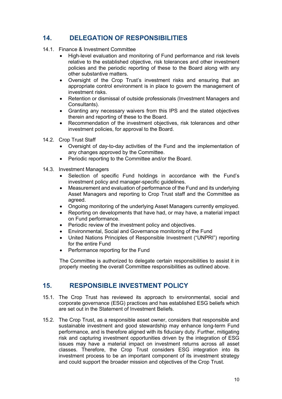# **14. DELEGATION OF RESPONSIBILITIES**

- 14.1. Finance & Investment Committee
	- High-level evaluation and monitoring of Fund performance and risk levels relative to the established objective, risk tolerances and other investment policies and the periodic reporting of these to the Board along with any other substantive matters.
	- Oversight of the Crop Trust's investment risks and ensuring that an appropriate control environment is in place to govern the management of investment risks.
	- Retention or dismissal of outside professionals (Investment Managers and Consultants).
	- Granting any necessary waivers from this IPS and the stated objectives therein and reporting of these to the Board.
	- Recommendation of the investment objectives, risk tolerances and other investment policies, for approval to the Board.
- 14.2. Crop Trust Staff
	- Oversight of day-to-day activities of the Fund and the implementation of any changes approved by the Committee.
	- Periodic reporting to the Committee and/or the Board.
- 14.3. Investment Managers
	- Selection of specific Fund holdings in accordance with the Fund's investment policy and manager-specific guidelines.
	- Measurement and evaluation of performance of the Fund and its underlying Asset Managers and reporting to Crop Trust staff and the Committee as agreed.
	- Ongoing monitoring of the underlying Asset Managers currently employed.
	- Reporting on developments that have had, or may have, a material impact on Fund performance.
	- Periodic review of the investment policy and objectives.
	- Environmental, Social and Governance monitoring of the Fund
	- United Nations Principles of Responsible Investment ("UNPRI") reporting for the entire Fund
	- Performance reporting for the Fund

The Committee is authorized to delegate certain responsibilities to assist it in properly meeting the overall Committee responsibilities as outlined above.

### **15. RESPONSIBLE INVESTMENT POLICY**

- 15.1. The Crop Trust has reviewed its approach to environmental, social and corporate governance (ESG) practices and has established ESG beliefs which are set out in the Statement of Investment Beliefs.
- 15.2. The Crop Trust, as a responsible asset owner, considers that responsible and sustainable investment and good stewardship may enhance long-term Fund performance, and is therefore aligned with its fiduciary duty. Further, mitigating risk and capturing investment opportunities driven by the integration of ESG issues may have a material impact on investment returns across all asset classes. Therefore, the Crop Trust considers ESG integration into its investment process to be an important component of its investment strategy and could support the broader mission and objectives of the Crop Trust.